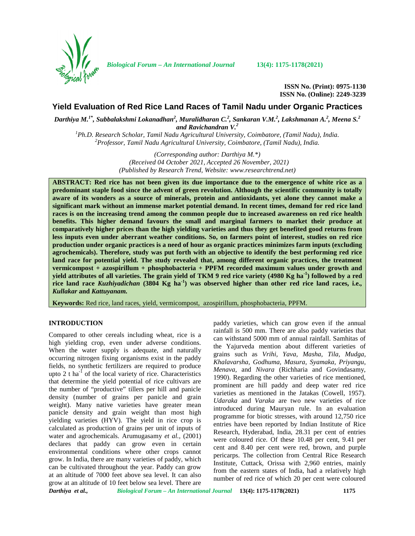

*Biological Forum – An International Journal* **13(4): 1175-1178(2021)**

**ISSN No. (Print): 0975-1130 ISSN No. (Online): 2249-3239**

# **Yield Evaluation of Red Rice Land Races of Tamil Nadu under Organic Practices**

*Darthiya M.1\* , Subbalakshmi Lokanadhan<sup>2</sup> , Muralidharan C.<sup>2</sup> , Sankaran V.M.<sup>2</sup> , Lakshmanan A.<sup>2</sup> , Meena S.<sup>2</sup> and Ravichandran V.<sup>2</sup>*

*<sup>1</sup>Ph.D. Research Scholar, Tamil Nadu Agricultural University, Coimbatore, (Tamil Nadu), India. <sup>2</sup>Professor, Tamil Nadu Agricultural University, Coimbatore, (Tamil Nadu), India.*

*(Corresponding author: Darthiya M.\*) (Received 04 October 2021, Accepted 26 November, 2021) (Published by Research Trend, Website: [www.researchtrend.net\)](www.researchtrend.net)*

**ABSTRACT: Red rice has not been given its due importance due to the emergence of white rice as a predominant staple food since the advent of green revolution. Although the scientific community is totally aware of its wonders as a source of minerals, protein and antioxidants, yet alone they cannot make a significant mark without an immense market potential demand. In recent times, demand for red rice land races is on the increasing trend among the common people due to increased awareness on red rice health benefits. This higher demand favours the small and marginal farmers to market their produce at comparatively higher prices than the high yielding varieties and thus they get benefited good returns from less inputs even under aberrant weather conditions. So, on farmers point of interest, studies on red rice production under organic practices is a need of hour as organic practices minimizes farm inputs (excluding agrochemicals). Therefore, study was put forth with an objective to identify the best performing red rice land race for potential yield. The study revealed that, among different organic practices, the treatment vermicompost + azospirillum + phosphobacteria + PPFM recorded maximum values under growth and yield attributes of all varieties. The grain yield of TKM 9 red rice variety (4980 Kg ha-1) followed by a red** rice land race *Kuzhiyadichan* (3804 Kg ha<sup>1</sup>) was observed higher than other red rice land races, i.e., *Kullakar* **and** *Kattuyanam.*

**Keywords:** Red rice, land races, yield, vermicompost, azospirillum, phosphobacteria, PPFM.

### **INTRODUCTION**

Compared to other cereals including wheat, rice is a high yielding crop, even under adverse conditions. When the water supply is adequate, and naturally occurring nitrogen fixing organisms exist in the paddy fields, no synthetic fertilizers are required to produce upto  $2$  t ha<sup>-1</sup> of the local variety of rice. Characteristics that determine the yield potential of rice cultivars are the number of "productive" tillers per hill and panicle density (number of grains per panicle and grain weight). Many native varieties have greater mean panicle density and grain weight than most high yielding varieties (HYV). The yield in rice crop is calculated as production of grains per unit of inputs of water and agrochemicals. Arumugasamy *et al.,* (2001) declares that paddy can grow even in certain environmental conditions where other crops cannot grow. In India, there are many varieties of paddy, which can be cultivated throughout the year. Paddy can grow at an altitude of 7000 feet above sea level. It can also grow at an altitude of 10 feet below sea level. There are

paddy varieties, which can grow even if the annual rainfall is 500 mm. There are also paddy varieties that can withstand 5000 mm of annual rainfall. Samhitas of the Yajurveda mention about different varieties of grains such as *Vrihi, Yava, Masha, Tila, Mudga, Khalavarsha, Godhuma, Masura, Syamaka, Priyangu, Menava,* and *Nivara* (Richharia and Govindasamy, 1990). Regarding the other varieties of rice mentioned, prominent are hill paddy and deep water red rice varieties as mentioned in the Jatakas (Cowell, 1957). *Udaraka* and *Varaka* are two new varieties of rice introduced during Mauryan rule. In an evaluation programme for biotic stresses, with around 12,750 rice entries have been reported by Indian Institute of Rice Research, Hyderabad, India, 28.31 per cent of entries were coloured rice. Of these 10.48 per cent, 9.41 per cent and 8.40 per cent were red, brown, and purple pericarps. The collection from Central Rice Research Institute, Cuttack, Orissa with 2,960 entries, mainly from the eastern states of India, had a relatively high number of red rice of which 20 per cent were coloured

*Darthiya et al., Biological Forum – An International Journal* **13(4): 1175-1178(2021) 1175**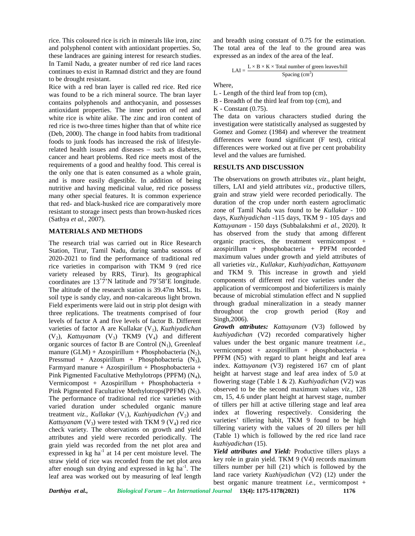rice. This coloured rice is rich in minerals like iron, zinc and polyphenol content with antioxidant properties. So, these landraces are gaining interest for research studies. In Tamil Nadu, a greater number of red rice land races continues to exist in Ramnad district and they are found to be drought resistant.

Rice with a red bran layer is called red rice. Red rice was found to be a rich mineral source. The bran layer contains polyphenols and anthocyanin, and possesses antioxidant properties. The inner portion of red and white rice is white alike. The zinc and iron content of red rice is two-three times higher than that of white rice (Deb, 2000). The change in food habits from traditional foods to junk foods has increased the risk of lifestylerelated health issues and diseases – such as diabetes, cancer and heart problems. Red rice meets most of the requirements of a good and healthy food. This cereal is the only one that is eaten consumed as a whole grain, and is more easily digestible. In addition of being nutritive and having medicinal value, red rice possess many other special features. It is common experience that red- and black-husked rice are comparatively more resistant to storage insect pests than brown-husked rices (Sathya *et al.,* 2007).

## **MATERIALS AND METHODS**

The research trial was carried out in Rice Research Station, Tirur, Tamil Nadu, during samba seasons of 2020-2021 to find the performance of traditional red rice varieties in comparison with TKM 9 (red rice variety released by RRS, Tirur). Its geographical coordinates are 13˚7'N latitude and 79˚58'E longitude. The altitude of the research station is 39.47m MSL. Its soil type is sandy clay, and non-calcareous light brown. Field experiments were laid out in strip plot design with three replications. The treatments comprised of four levels of factor A and five levels of factor B. Different varieties of factor A are Kullakar (V<sub>1</sub>), *Kuzhiyadichan*  $(V_2)$ , *Kattuyanam*  $(V_3)$  TKM9  $(V_4)$  and different organic sources of factor B are Control  $(N_1)$ , Greenleaf manure  $(GLM)$  + Azospirillum + Phosphobacteria  $(N_2)$ , Pressmud + Azospirillum + Phosphobacteria  $(N_3)$ , Farmyard manure + Azospirillum + Phosphobacteria + Pink Pigmented Facultative Methylotrops (PPFM)  $(N_4)$ , Vermicompost + Azospirillum + Phosphobacteria + Pink Pigmented Facultative Methylotrops(PPFM)  $(N_5)$ . The performance of traditional red rice varieties with varied duration under scheduled organic manure treatment *viz., Kullakar* (V<sub>1</sub>)*, Kuzhiyadichan* (V<sub>2</sub>) and *Kattuyanam* ( $V_3$ ) were tested with TKM 9 ( $V_4$ ) red rice check variety. The observations on growth and yield attributes and yield were recorded periodically. The grain yield was recorded from the net plot area and expressed in  $kg$  ha<sup>-1</sup> at 14 per cent moisture level. The straw yield of rice was recorded from the net plot area after enough sun drying and expressed in kg ha<sup>-1</sup>. The tille leaf area was worked out by measuring of leaf length

and breadth using constant of 0.75 for the estimation. The total area of the leaf to the ground area was expressed as an index of the area of the leaf.

$$
LAI = \frac{L \times B \times K \times \text{Total number of green leaves/hill}}{\text{Spacing (cm}^2)}
$$

Where,

L - Length of the third leaf from top (cm),

B - Breadth of the third leaf from top (cm), and

K - Constant (0.75).

The data on various characters studied during the investigation were statistically analysed as suggested by Gomez and Gomez (1984) and wherever the treatment differences were found significant (F test), critical differences were worked out at five per cent probability level and the values are furnished.

### **RESULTS AND DISCUSSION**

The observations on growth attributes *viz.,* plant height, tillers, LAI and yield attributes *viz.,* productive tillers, grain and straw yield were recorded periodically. The duration of the crop under north eastern agroclimatic zone of Tamil Nadu was found to be *Kullakar -* 100 days*, Kuzhiyadichan* -115 days, TKM 9 - 105 days and *Kattuyanam* - 150 days (Subbalakshmi *et al.,* 2020). It has observed from the study that among different organic practices, the treatment vermicompost + azospirillum + phosphobacteria + PPFM recorded maximum values under growth and yield attributes of all varieties *viz., Kullakar, Kuzhiyadichan, Kattuyanam* and TKM 9. This increase in growth and yield components of different red rice varieties under the application of vermicompost and biofertilizers is mainly because of microbial stimulation effect and N supplied through gradual mineralization in a steady manner throughout the crop growth period (Roy and Singh,2006).

*Growth attributes: Kattuyanam* (V3) followed by *kuzhiyadichan* (V2) recorded comparatively higher values under the best organic manure treatment *i.e.,* vermicompost + azospirillum + phosphobacteria + PPFM (N5) with regard to plant height and leaf area index. *Kattuyanam* (V3) registered 167 cm of plant height at harvest stage and leaf area index of 5.0 at flowering stage (Table 1 & 2). *Kuzhiyadichan* (V2) was observed to be the second maximum values *viz.,* 128 cm, 15, 4.6 under plant height at harvest stage, number of tillers per hill at active tillering stage and leaf area index at flowering respectively. Considering the varieties' tillering habit, TKM 9 found to be high tillering variety with the values of 20 tillers per hill (Table 1) which is followed by the red rice land race *kuzhiyadichan* (15).

*Yield attributes and Yield:* Productive tillers plays a key role in grain yield. TKM 9 (V4) records maximum tillers number per hill (21) which is followed by the land race variety *Kuzhiyadichan* (V2) (12) under the best organic manure treatment *i.e.,* vermicompost +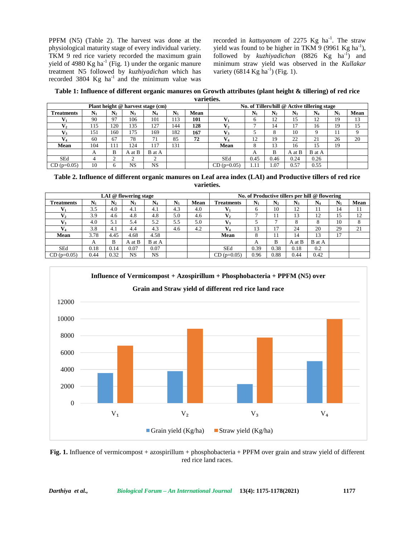PPFM (N5) (Table 2). The harvest was done at the physiological maturity stage of every individual variety. TKM 9 red rice variety recorded the maximum grain yield of 4980 Kg ha<sup>-1</sup> (Fig. 1) under the organic manure treatment N5 followed by *kuzhiyadichan* which has recorded  $3804 \text{ Kg}$  ha<sup>-1</sup> and the minimum value was

recorded in *kattuyanam* of 2275 Kg ha<sup>-1</sup>. The straw yield was found to be higher in TKM 9 (9961 Kg ha<sup>-1</sup>), followed by *kuzhiyadichan* (8826 Kg ha<sup>-1</sup>) and minimum straw yield was observed in the *Kullakar* variety (6814 Kg ha<sup>-1</sup>) (Fig. 1).

**Table 1: Influence of different organic manures on Growth attributes (plant height & tillering) of red rice varieties.**

|                   |                                              |                |           | Plant height @ harvest stage (cm) |             | , , , , , , , , , , , , |              |                |       |         |        |         |      |
|-------------------|----------------------------------------------|----------------|-----------|-----------------------------------|-------------|-------------------------|--------------|----------------|-------|---------|--------|---------|------|
|                   | No. of Tillers/hill @ Active tillering stage |                |           |                                   |             |                         |              |                |       |         |        |         |      |
| <b>Treatments</b> | $\mathbf{N}_1$                               | N <sub>2</sub> | N3        | $N_4$                             | $N_{\rm s}$ | Mean                    |              | $\mathbf{N}_1$ | $N_2$ | $N_{3}$ | $N_4$  | $N_{5}$ | Mean |
|                   | 90                                           | 97             | 106       | 101                               | 113         | 101                     |              | ი              | 12    | 15      | 12     | 19      | 13   |
|                   | 115                                          | .20            | 135       | 127                               | 144         | 128                     |              |                | 14    |         | 16     | 19      | 15   |
|                   | 151                                          | 60             | 175       | 169                               | 182         | 167                     |              |                | 8     | 10      |        |         | Q    |
|                   | 60                                           | 67             | 78        | 71                                | 85          | 72                      |              | 12             | 19    | 22      | 21     | 26      | 20   |
| Mean              | 104                                          | 111            | 124       | 117                               | 131         |                         | Mean         | 8              | 13    | 16      | 15     | 19      |      |
|                   | A                                            | B              | A at B    | B at A                            |             |                         |              | A              | B     | A at B  | B at A |         |      |
| SEd               | 4                                            | ⌒              |           |                                   |             |                         | <b>SEd</b>   | 0.45           | 0.46  | 0.24    | 0.26   |         |      |
| $CD$ (p=0.05)     | 10                                           |                | <b>NS</b> | <b>NS</b>                         |             |                         | $CD(p=0.05)$ | 1.11           | 1.07  | 0.57    | 0.55   |         |      |

**Table 2. Influence of different organic manures on Leaf area index (LAI) and Productive tillers of red rice varieties.**

|                   | No. of Productive tillers per hill @ flowering |                |                |           |         |      |                   |       |                |         |                |       |      |
|-------------------|------------------------------------------------|----------------|----------------|-----------|---------|------|-------------------|-------|----------------|---------|----------------|-------|------|
| <b>Treatments</b> | $N_{1}$                                        | $\mathbf{N}_2$ | $\mathbf{N}_3$ | $\rm N_4$ | $N_{s}$ | Mean | <b>Treatments</b> | $N_1$ | $\mathbf{N}_2$ | $N_{3}$ | $\mathbf{N}_4$ | $N_5$ | Mean |
|                   | 3.5                                            | 4.0            | 4.1            | 4.1       | 4.3     | 4.0  |                   | 6     | 10             | 12      | 11             | 14    | 11   |
| $\mathbf{V}_2$    | 3.9                                            | 4.6            | 4.8            | 4.8       | 5.0     | 4.6  |                   | −     | 11             | 13      | 12             | 15    | 12   |
| $\mathbf{V}_3$    | 4.0                                            | 5.1            | 5.4            | 5.2       | 5.5     | 5.0  |                   |       |                |         |                | 10    | 8    |
| V4                | 3.8                                            | 4.1            | 4.4            | 4.3       | 4.6     | 4.2  |                   | 13    |                | 24      | 20             | 29    | 21   |
| Mean              | 3.78                                           | 4.45           | 4.68           | 4.58      |         |      | Mean              | 8     |                | ، 4     | 13             | 17    |      |
|                   | A                                              |                | A at B         | B at A    |         |      |                   | A     | B              | A at B  | B at A         |       |      |
| <b>SEd</b>        | 0.18                                           | 0.14           | 0.07           | 0.07      |         |      | <b>SEd</b>        | 0.39  | 0.38           | 0.18    | 0.2            |       |      |
| $CD(p=0.05)$      | 0.44                                           | 0.32           | NS             | <b>NS</b> |         |      | $CD$ (p=0.05)     | 0.96  | 0.88           | 0.44    | 0.42           |       |      |



**Fig. 1.** Influence of vermicompost + azospirillum + phosphobacteria + PPFM over grain and straw yield of different red rice land races.

*Darthiya et al., Biological Forum – An International Journal* **13(4): 1175-1178(2021) 1177**